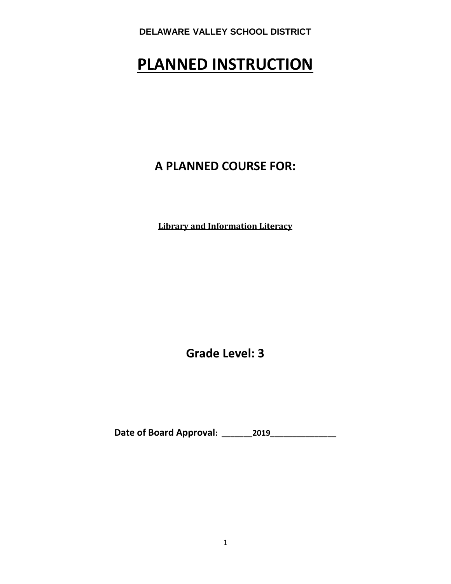# **PLANNED INSTRUCTION**

# **A PLANNED COURSE FOR:**

**Library and Information Literacy**

**Grade Level: 3**

**Date of Board Approval: \_\_\_\_\_\_\_2019\_\_\_\_\_\_\_\_\_\_\_\_\_\_\_**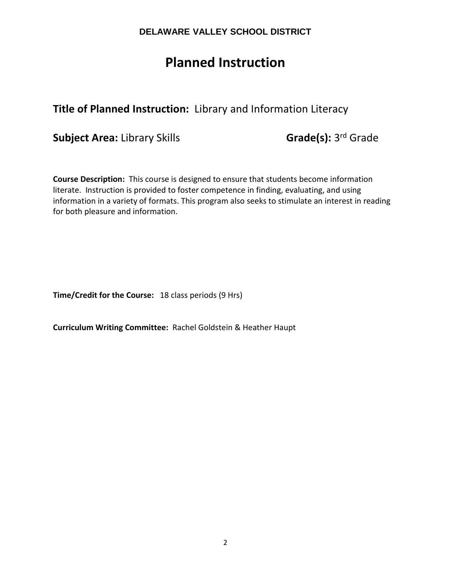# **Planned Instruction**

# **Title of Planned Instruction:** Library and Information Literacy

**Subject Area:** Library Skills **Grade(s):** 3<sup>rd</sup> Grade

**Course Description:** This course is designed to ensure that students become information literate. Instruction is provided to foster competence in finding, evaluating, and using information in a variety of formats. This program also seeks to stimulate an interest in reading for both pleasure and information.

**Time/Credit for the Course:** 18 class periods (9 Hrs)

**Curriculum Writing Committee:** Rachel Goldstein & Heather Haupt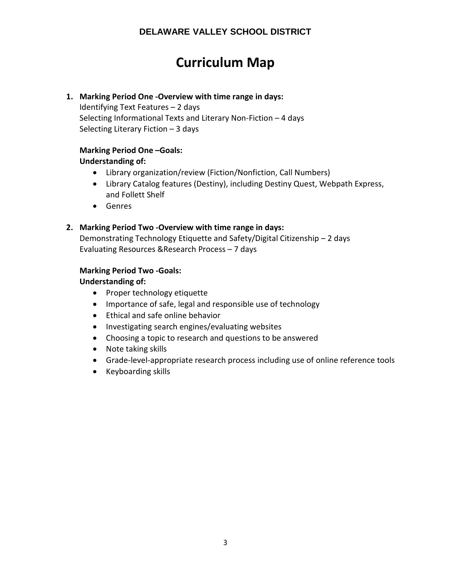# **Curriculum Map**

#### **1. Marking Period One -Overview with time range in days:**

Identifying Text Features – 2 days Selecting Informational Texts and Literary Non-Fiction – 4 days Selecting Literary Fiction – 3 days

# **Marking Period One –Goals:**

#### **Understanding of:**

- Library organization/review (Fiction/Nonfiction, Call Numbers)
- Library Catalog features (Destiny), including Destiny Quest, Webpath Express, and Follett Shelf
- Genres

#### **2. Marking Period Two -Overview with time range in days:**

Demonstrating Technology Etiquette and Safety/Digital Citizenship – 2 days Evaluating Resources &Research Process – 7 days

#### **Marking Period Two -Goals:**

### **Understanding of:**

- Proper technology etiquette
- Importance of safe, legal and responsible use of technology
- Ethical and safe online behavior
- Investigating search engines/evaluating websites
- Choosing a topic to research and questions to be answered
- Note taking skills
- Grade-level-appropriate research process including use of online reference tools
- Keyboarding skills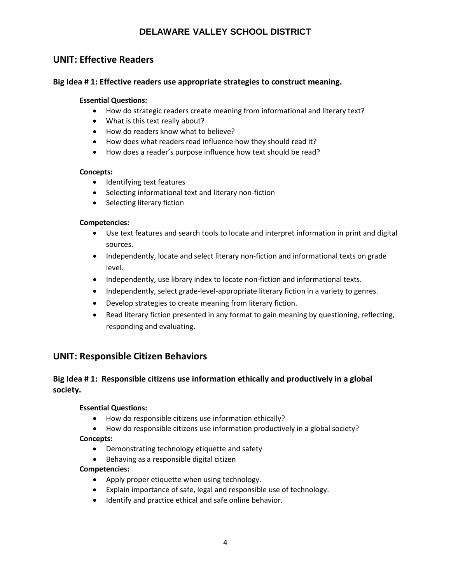### **UNIT: Effective Readers**

#### **Big Idea # 1: Effective readers use appropriate strategies to construct meaning.**

#### **Essential Questions:**

- How do strategic readers create meaning from informational and literary text?
- What is this text really about?
- How do readers know what to believe?
- How does what readers read influence how they should read it?
- How does a reader's purpose influence how text should be read?

#### **Concepts:**

- Identifying text features
- Selecting informational text and literary non-fiction
- Selecting literary fiction

#### **Competencies:**

- Use text features and search tools to locate and interpret information in print and digital sources.
- Independently, locate and select literary non-fiction and informational texts on grade level.
- Independently, use library index to locate non-fiction and informational texts.
- Independently, select grade-level-appropriate literary fiction in a variety to genres.
- Develop strategies to create meaning from literary fiction.
- Read literary fiction presented in any format to gain meaning by questioning, reflecting, responding and evaluating.

### **UNIT: Responsible Citizen Behaviors**

### **Big Idea # 1: Responsible citizens use information ethically and productively in a global society.**

#### **Essential Questions:**

- How do responsible citizens use information ethically?
- How do responsible citizens use information productively in a global society?

#### **Concepts:**

- Demonstrating technology etiquette and safety
- Behaving as a responsible digital citizen

#### **Competencies:**

- Apply proper etiquette when using technology.
- Explain importance of safe, legal and responsible use of technology.
- Identify and practice ethical and safe online behavior.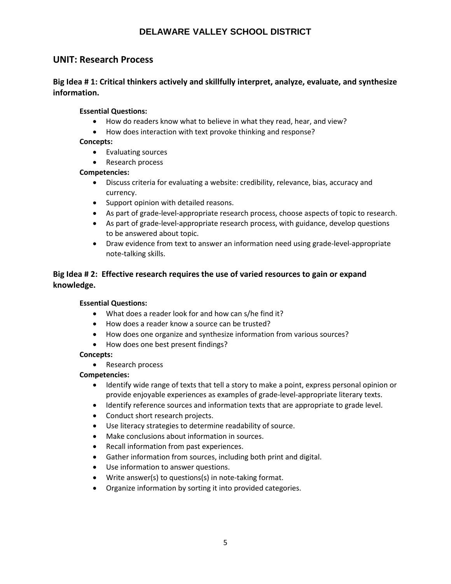### **UNIT: Research Process**

#### **Big Idea # 1: Critical thinkers actively and skillfully interpret, analyze, evaluate, and synthesize information.**

#### **Essential Questions:**

- How do readers know what to believe in what they read, hear, and view?
- How does interaction with text provoke thinking and response?

#### **Concepts:**

- Evaluating sources
- Research process

#### **Competencies:**

- Discuss criteria for evaluating a website: credibility, relevance, bias, accuracy and currency.
- Support opinion with detailed reasons.
- As part of grade-level-appropriate research process, choose aspects of topic to research.
- As part of grade-level-appropriate research process, with guidance, develop questions to be answered about topic.
- Draw evidence from text to answer an information need using grade-level-appropriate note-talking skills.

#### **Big Idea # 2: Effective research requires the use of varied resources to gain or expand knowledge.**

#### **Essential Questions:**

- What does a reader look for and how can s/he find it?
- How does a reader know a source can be trusted?
- How does one organize and synthesize information from various sources?
- How does one best present findings?

#### **Concepts:**

• Research process

#### **Competencies:**

- Identify wide range of texts that tell a story to make a point, express personal opinion or provide enjoyable experiences as examples of grade-level-appropriate literary texts.
- Identify reference sources and information texts that are appropriate to grade level.
- Conduct short research projects.
- Use literacy strategies to determine readability of source.
- Make conclusions about information in sources.
- Recall information from past experiences.
- Gather information from sources, including both print and digital.
- Use information to answer questions.
- Write answer(s) to questions(s) in note-taking format.
- Organize information by sorting it into provided categories.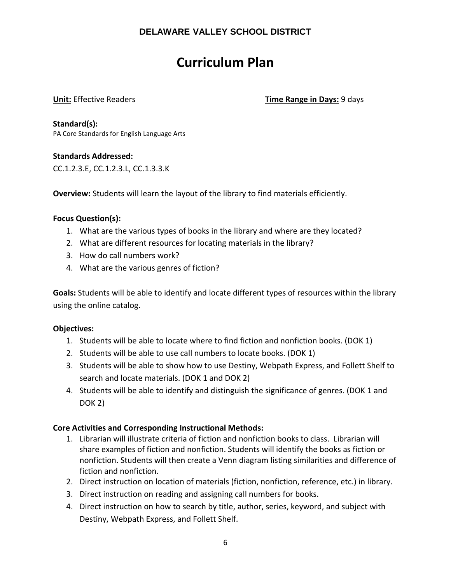# **Curriculum Plan**

**Unit:** Effective Readers **Time Range in Days:** 9 days

**Standard(s):**  PA Core Standards for English Language Arts

### **Standards Addressed:**

CC.1.2.3.E, CC.1.2.3.L, CC.1.3.3.K

**Overview:** Students will learn the layout of the library to find materials efficiently.

#### **Focus Question(s):**

- 1. What are the various types of books in the library and where are they located?
- 2. What are different resources for locating materials in the library?
- 3. How do call numbers work?
- 4. What are the various genres of fiction?

**Goals:** Students will be able to identify and locate different types of resources within the library using the online catalog.

#### **Objectives:**

- 1. Students will be able to locate where to find fiction and nonfiction books. (DOK 1)
- 2. Students will be able to use call numbers to locate books. (DOK 1)
- 3. Students will be able to show how to use Destiny, Webpath Express, and Follett Shelf to search and locate materials. (DOK 1 and DOK 2)
- 4. Students will be able to identify and distinguish the significance of genres. (DOK 1 and DOK 2)

#### **Core Activities and Corresponding Instructional Methods:**

- 1. Librarian will illustrate criteria of fiction and nonfiction books to class. Librarian will share examples of fiction and nonfiction. Students will identify the books as fiction or nonfiction. Students will then create a Venn diagram listing similarities and difference of fiction and nonfiction.
- 2. Direct instruction on location of materials (fiction, nonfiction, reference, etc.) in library.
- 3. Direct instruction on reading and assigning call numbers for books.
- 4. Direct instruction on how to search by title, author, series, keyword, and subject with Destiny, Webpath Express, and Follett Shelf.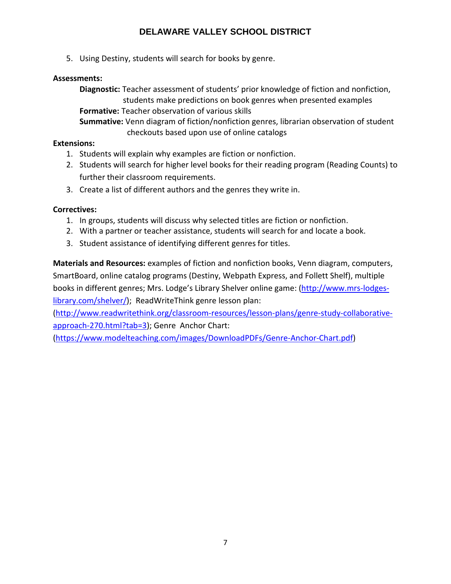5. Using Destiny, students will search for books by genre.

### **Assessments:**

**Diagnostic:** Teacher assessment of students' prior knowledge of fiction and nonfiction, students make predictions on book genres when presented examples **Formative:** Teacher observation of various skills **Summative:** Venn diagram of fiction/nonfiction genres, librarian observation of student

checkouts based upon use of online catalogs

#### **Extensions:**

- 1. Students will explain why examples are fiction or nonfiction.
- 2. Students will search for higher level books for their reading program (Reading Counts) to further their classroom requirements.
- 3. Create a list of different authors and the genres they write in.

### **Correctives:**

- 1. In groups, students will discuss why selected titles are fiction or nonfiction.
- 2. With a partner or teacher assistance, students will search for and locate a book.
- 3. Student assistance of identifying different genres for titles.

**Materials and Resources:** examples of fiction and nonfiction books, Venn diagram, computers, SmartBoard, online catalog programs (Destiny, Webpath Express, and Follett Shelf), multiple books in different genres; Mrs. Lodge's Library Shelver online game: [\(http://www.mrs-lodges](http://www.mrs-lodges-library.com/shelver/)[library.com/shelver/\)](http://www.mrs-lodges-library.com/shelver/); ReadWriteThink genre lesson plan:

[\(http://www.readwritethink.org/classroom-resources/lesson-plans/genre-study-collaborative](http://www.readwritethink.org/classroom-resources/lesson-plans/genre-study-collaborative-approach-270.html?tab=3)[approach-270.html?tab=3\)](http://www.readwritethink.org/classroom-resources/lesson-plans/genre-study-collaborative-approach-270.html?tab=3); Genre Anchor Chart:

[\(https://www.modelteaching.com/images/DownloadPDFs/Genre-Anchor-Chart.pdf\)](https://www.modelteaching.com/images/DownloadPDFs/Genre-Anchor-Chart.pdf)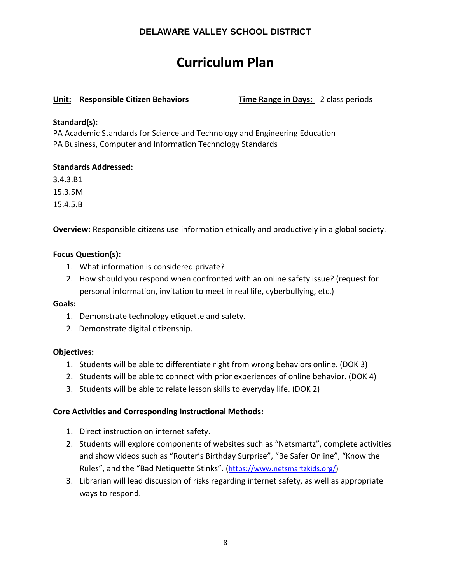# **Curriculum Plan**

#### **Unit: Responsible Citizen Behaviors Time Range in Days:** 2 class periods

#### **Standard(s):**

PA Academic Standards for Science and Technology and Engineering Education PA Business, Computer and Information Technology Standards

#### **Standards Addressed:**

3.4.3.B1

15.3.5M

15.4.5.B

**Overview:** Responsible citizens use information ethically and productively in a global society.

#### **Focus Question(s):**

- 1. What information is considered private?
- 2. How should you respond when confronted with an online safety issue? (request for personal information, invitation to meet in real life, cyberbullying, etc.)

#### **Goals:**

- 1. Demonstrate technology etiquette and safety.
- 2. Demonstrate digital citizenship.

#### **Objectives:**

- 1. Students will be able to differentiate right from wrong behaviors online. (DOK 3)
- 2. Students will be able to connect with prior experiences of online behavior. (DOK 4)
- 3. Students will be able to relate lesson skills to everyday life. (DOK 2)

#### **Core Activities and Corresponding Instructional Methods:**

- 1. Direct instruction on internet safety.
- 2. Students will explore components of websites such as "Netsmartz", complete activities and show videos such as "Router's Birthday Surprise", "Be Safer Online", "Know the Rules", and the "Bad Netiquette Stinks". [\(https://www.netsmartzkids.org/\)](https://www.netsmartzkids.org/)
- 3. Librarian will lead discussion of risks regarding internet safety, as well as appropriate ways to respond.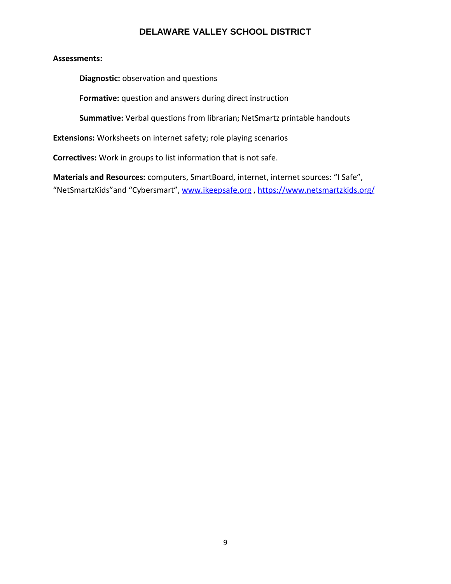#### **Assessments:**

**Diagnostic:** observation and questions

**Formative:** question and answers during direct instruction

**Summative:** Verbal questions from librarian; NetSmartz printable handouts

**Extensions:** Worksheets on internet safety; role playing scenarios

**Correctives:** Work in groups to list information that is not safe.

**Materials and Resources:** computers, SmartBoard, internet, internet sources: "I Safe", "NetSmartzKids"and "Cybersmart", [www.ikeepsafe.org](http://www.ikeepsafe.org/) ,<https://www.netsmartzkids.org/>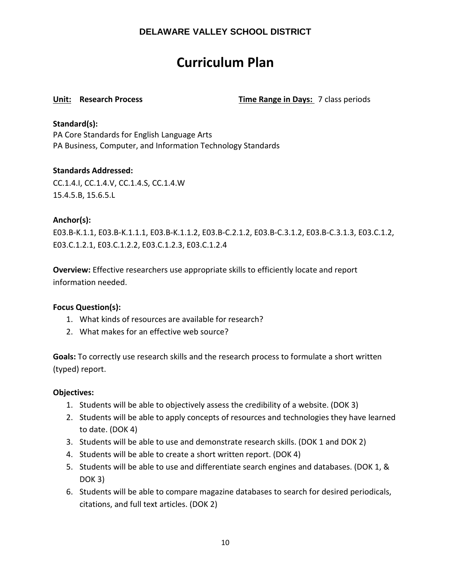# **Curriculum Plan**

**Unit: Research Process Time Range in Days:** 7 class periods

#### **Standard(s):**

PA Core Standards for English Language Arts PA Business, Computer, and Information Technology Standards

#### **Standards Addressed:**

CC.1.4.I, CC.1.4.V, CC.1.4.S, CC.1.4.W 15.4.5.B, 15.6.5.L

#### **Anchor(s):**

E03.B-K.1.1, E03.B-K.1.1.1, E03.B-K.1.1.2, E03.B-C.2.1.2, E03.B-C.3.1.2, E03.B-C.3.1.3, E03.C.1.2, E03.C.1.2.1, E03.C.1.2.2, E03.C.1.2.3, E03.C.1.2.4

**Overview:** Effective researchers use appropriate skills to efficiently locate and report information needed.

#### **Focus Question(s):**

- 1. What kinds of resources are available for research?
- 2. What makes for an effective web source?

**Goals:** To correctly use research skills and the research process to formulate a short written (typed) report.

#### **Objectives:**

- 1. Students will be able to objectively assess the credibility of a website. (DOK 3)
- 2. Students will be able to apply concepts of resources and technologies they have learned to date. (DOK 4)
- 3. Students will be able to use and demonstrate research skills. (DOK 1 and DOK 2)
- 4. Students will be able to create a short written report. (DOK 4)
- 5. Students will be able to use and differentiate search engines and databases. (DOK 1, & DOK 3)
- 6. Students will be able to compare magazine databases to search for desired periodicals, citations, and full text articles. (DOK 2)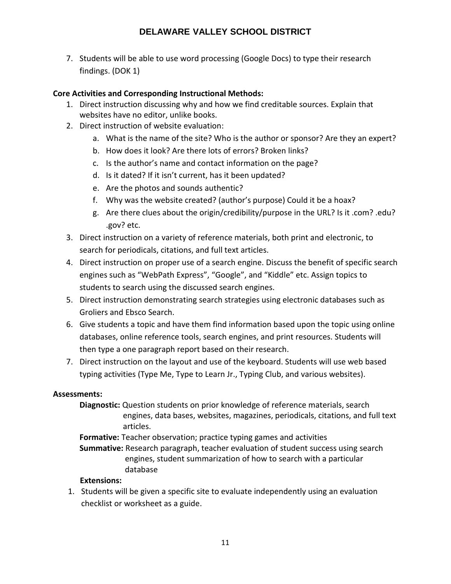7. Students will be able to use word processing (Google Docs) to type their research findings. (DOK 1)

#### **Core Activities and Corresponding Instructional Methods:**

- 1. Direct instruction discussing why and how we find creditable sources. Explain that websites have no editor, unlike books.
- 2. Direct instruction of website evaluation:
	- a. What is the name of the site? Who is the author or sponsor? Are they an expert?
	- b. How does it look? Are there lots of errors? Broken links?
	- c. Is the author's name and contact information on the page?
	- d. Is it dated? If it isn't current, has it been updated?
	- e. Are the photos and sounds authentic?
	- f. Why was the website created? (author's purpose) Could it be a hoax?
	- g. Are there clues about the origin/credibility/purpose in the URL? Is it .com? .edu? .gov? etc.
- 3. Direct instruction on a variety of reference materials, both print and electronic, to search for periodicals, citations, and full text articles.
- 4. Direct instruction on proper use of a search engine. Discuss the benefit of specific search engines such as "WebPath Express", "Google", and "Kiddle" etc. Assign topics to students to search using the discussed search engines.
- 5. Direct instruction demonstrating search strategies using electronic databases such as Groliers and Ebsco Search.
- 6. Give students a topic and have them find information based upon the topic using online databases, online reference tools, search engines, and print resources. Students will then type a one paragraph report based on their research.
- 7. Direct instruction on the layout and use of the keyboard. Students will use web based typing activities (Type Me, Type to Learn Jr., Typing Club, and various websites).

#### **Assessments:**

**Diagnostic:** Question students on prior knowledge of reference materials, search engines, data bases, websites, magazines, periodicals, citations, and full text articles.

**Formative:** Teacher observation; practice typing games and activities

**Summative:** Research paragraph, teacher evaluation of student success using search engines, student summarization of how to search with a particular database

#### **Extensions:**

1. Students will be given a specific site to evaluate independently using an evaluation checklist or worksheet as a guide.